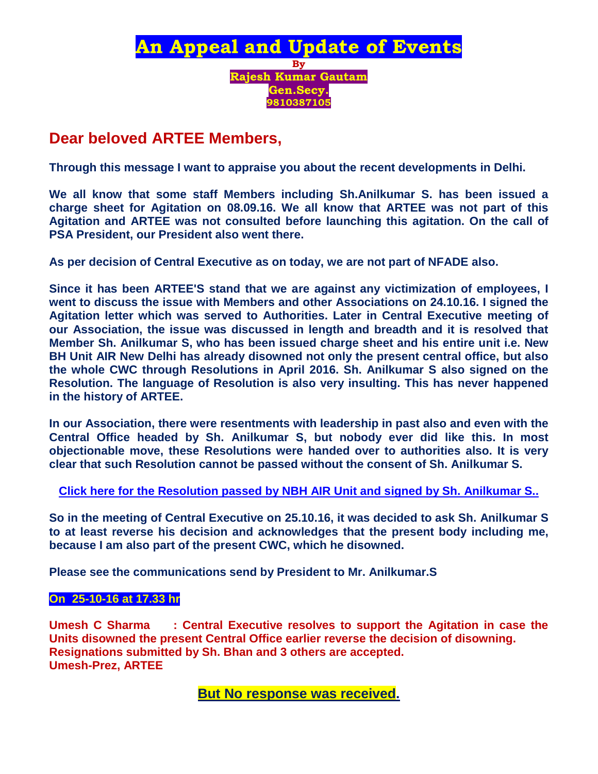

## **Dear beloved ARTEE Members,**

**Through this message I want to appraise you about the recent developments in Delhi.**

**We all know that some staff Members including Sh.Anilkumar S. has been issued a charge sheet for Agitation on 08.09.16. We all know that ARTEE was not part of this Agitation and ARTEE was not consulted before launching this agitation. On the call of PSA President, our President also went there.**

**As per decision of Central Executive as on today, we are not part of NFADE also.**

**Since it has been ARTEE'S stand that we are against any victimization of employees, I went to discuss the issue with Members and other Associations on 24.10.16. I signed the Agitation letter which was served to Authorities. Later in Central Executive meeting of our Association, the issue was discussed in length and breadth and it is resolved that Member Sh. Anilkumar S, who has been issued charge sheet and his entire unit i.e. New BH Unit AIR New Delhi has already disowned not only the present central office, but also the whole CWC through Resolutions in April 2016. Sh. Anilkumar S also signed on the Resolution. The language of Resolution is also very insulting. This has never happened in the history of ARTEE.** 

**In our Association, there were resentments with leadership in past also and even with the Central Office headed by Sh. Anilkumar S, but nobody ever did like this. In most objectionable move, these Resolutions were handed over to authorities also. It is very clear that such Resolution cannot be passed without the consent of Sh. Anilkumar S.**

**[Click here for the Resolution passed by NBH AIR Unit and signed by Sh. Anilkumar S..](http://arteeindia.org/central/2016/resolution_BH.pdf)**

**So in the meeting of Central Executive on 25.10.16, it was decided to ask Sh. Anilkumar S to at least reverse his decision and acknowledges that the present body including me, because I am also part of the present CWC, which he disowned.**

**Please see the communications send by President to Mr. Anilkumar.S**

#### **On 25-10-16 at 17.33 hr**

**Umesh C Sharma : Central Executive resolves to support the Agitation in case the Units disowned the present Central Office earlier reverse the decision of disowning. Resignations submitted by Sh. Bhan and 3 others are accepted. Umesh-Prez, ARTEE**

**But No response was received.**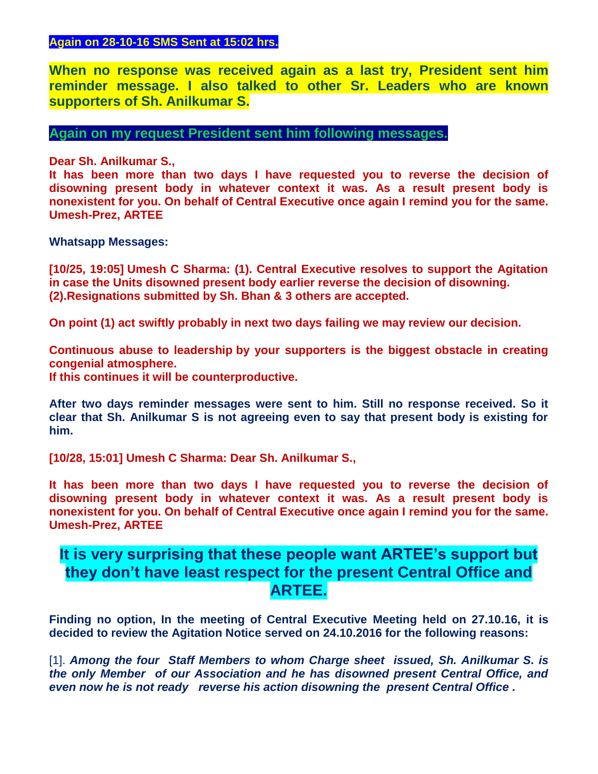### **Again on 28-10-16 SMS Sent at 15:02 hrs.**

**When no response was received again as a last try, President sent him reminder message. I also talked to other Sr. Leaders who are known supporters of Sh. Anilkumar S.**

**Again on my request President sent him following messages.**

**Dear Sh. Anilkumar S.,**

**It has been more than two days I have requested you to reverse the decision of disowning present body in whatever context it was. As a result present body is nonexistent for you. On behalf of Central Executive once again I remind you for the same. Umesh-Prez, ARTEE**

**Whatsapp Messages:**

**[10/25, 19:05] Umesh C Sharma: (1). Central Executive resolves to support the Agitation in case the Units disowned present body earlier reverse the decision of disowning. (2).Resignations submitted by Sh. Bhan & 3 others are accepted.**

**On point (1) act swiftly probably in next two days failing we may review our decision.**

**Continuous abuse to leadership by your supporters is the biggest obstacle in creating congenial atmosphere.**

**If this continues it will be counterproductive.**

**After two days reminder messages were sent to him. Still no response received. So it clear that Sh. Anilkumar S is not agreeing even to say that present body is existing for him.** 

**[10/28, 15:01] Umesh C Sharma: Dear Sh. Anilkumar S.,**

**It has been more than two days I have requested you to reverse the decision of disowning present body in whatever context it was. As a result present body is nonexistent for you. On behalf of Central Executive once again I remind you for the same. Umesh-Prez, ARTEE**

## **It is very surprising that these people want ARTEE's support but they don't have least respect for the present Central Office and ARTEE.**

**Finding no option, In the meeting of Central Executive Meeting held on 27.10.16, it is decided to review the Agitation Notice served on 24.10.2016 for the following reasons:**

[1]. *Among the four Staff Members to whom Charge sheet issued, Sh. Anilkumar S. is the only Member of our Association and he has disowned present Central Office, and even now he is not ready reverse his action disowning the present Central Office .*